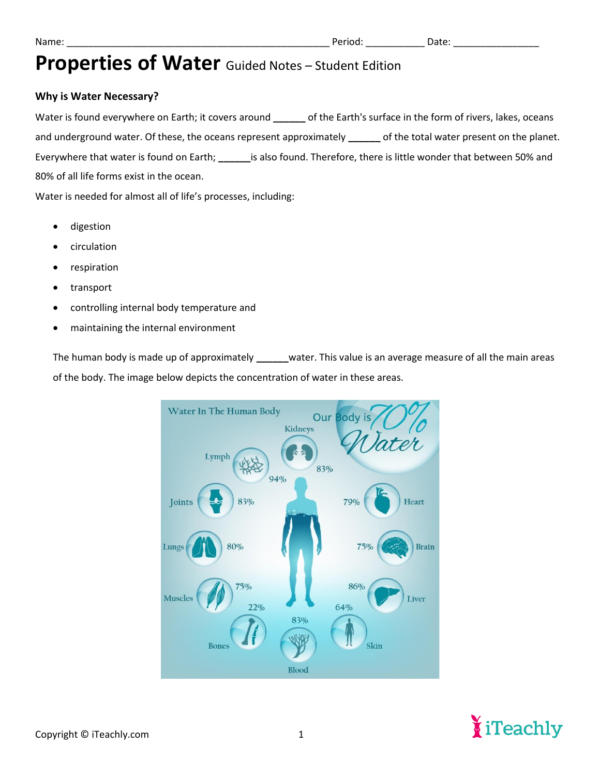### **Why is Water Necessary?**

Water is found everywhere on Earth; it covers around **\_\_\_\_\_\_** of the Earth's surface in the form of rivers, lakes, oceans and underground water. Of these, the oceans represent approximately **\_\_\_\_\_\_** of the total water present on the planet. Everywhere that water is found on Earth; **\_\_\_\_\_\_**is also found. Therefore, there is little wonder that between 50% and 80% of all life forms exist in the ocean.

Water is needed for almost all of life's processes, including:

- digestion
- circulation
- respiration
- transport
- controlling internal body temperature and
- maintaining the internal environment

The human body is made up of approximately **\_\_\_\_\_\_**water. This value is an average measure of all the main areas of the body. The image below depicts the concentration of water in these areas.



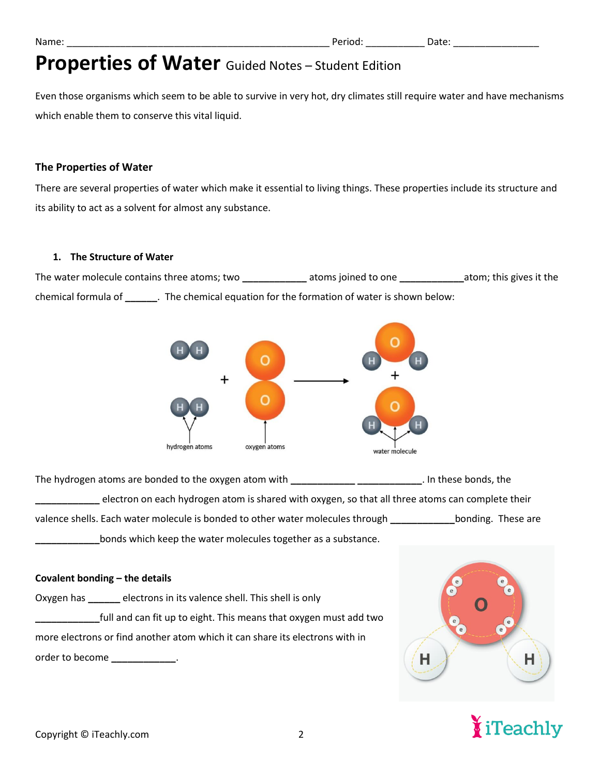Even those organisms which seem to be able to survive in very hot, dry climates still require water and have mechanisms which enable them to conserve this vital liquid.

### **The Properties of Water**

There are several properties of water which make it essential to living things. These properties include its structure and its ability to act as a solvent for almost any substance.

### **1. The Structure of Water**

The water molecule contains three atoms; two **\_\_\_\_\_\_\_\_\_\_\_\_** atoms joined to one **\_\_\_\_\_\_\_\_\_\_\_\_**atom; this gives it the chemical formula of **\_\_\_\_\_\_**. The chemical equation for the formation of water is shown below:



The hydrogen atoms are bonded to the oxygen atom with **\_\_\_\_\_\_\_\_\_\_\_\_ \_\_\_\_\_\_\_\_\_\_\_\_**. In these bonds, the **\_\_\_\_\_\_\_\_\_\_\_\_** electron on each hydrogen atom is shared with oxygen, so that all three atoms can complete their valence shells. Each water molecule is bonded to other water molecules through **\_\_\_\_\_\_\_\_\_\_\_\_**bonding. These are **\_\_\_\_\_\_\_\_\_\_\_\_**bonds which keep the water molecules together as a substance.

### **Covalent bonding – the details**

| electrons in its valence shell. This shell is only<br>Oxygen has                                                                                                                                                                     |
|--------------------------------------------------------------------------------------------------------------------------------------------------------------------------------------------------------------------------------------|
| full and can fit up to eight. This means that oxygen must add two                                                                                                                                                                    |
| more electrons or find another atom which it can share its electrons with in                                                                                                                                                         |
| order to become <b>contract to be a set of the set of the set of the set of the set of the set of the set of the set of the set of the set of the set of the set of the set of the set of the set of the set of the set of the s</b> |



# iTeachly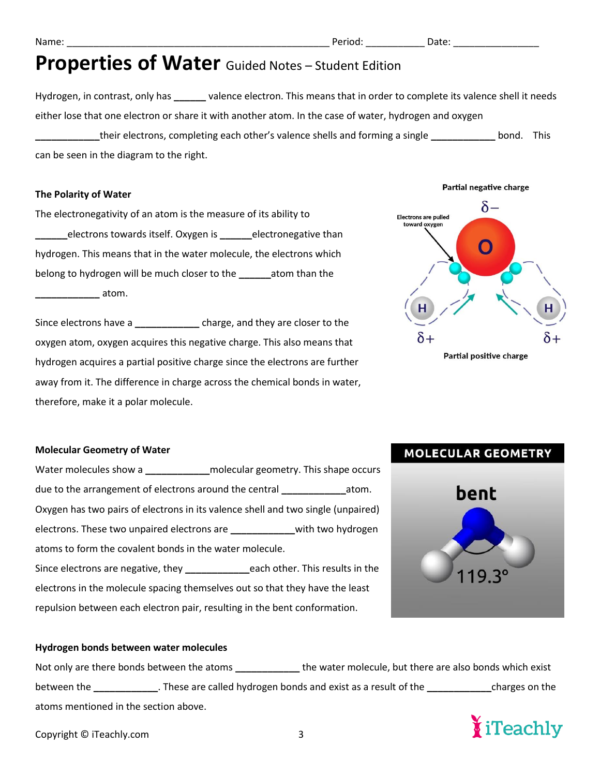Hydrogen, in contrast, only has **\_\_\_\_\_\_** valence electron. This means that in order to complete its valence shell it needs either lose that one electron or share it with another atom. In the case of water, hydrogen and oxygen **\_\_\_\_\_\_\_\_\_\_\_\_**their electrons, completing each other's valence shells and forming a single **\_\_\_\_\_\_\_\_\_\_\_\_** bond. This can be seen in the diagram to the right.

#### **The Polarity of Water**

The electronegativity of an atom is the measure of its ability to **\_\_\_\_\_\_**electrons towards itself. Oxygen is **\_\_\_\_\_\_**electronegative than hydrogen. This means that in the water molecule, the electrons which belong to hydrogen will be much closer to the **\_\_\_\_\_\_**atom than the **\_\_\_\_\_\_\_\_\_\_\_\_** atom.

Since electrons have a **\_\_\_\_\_\_\_\_\_\_\_\_** charge, and they are closer to the oxygen atom, oxygen acquires this negative charge. This also means that hydrogen acquires a partial positive charge since the electrons are further away from it. The difference in charge across the chemical bonds in water, therefore, make it a polar molecule.



**MOLECULAR GEOMETRY** 

bent

#### **Molecular Geometry of Water**

Water molecules show a **\_\_\_\_\_\_\_\_\_\_\_\_**molecular geometry. This shape occurs due to the arrangement of electrons around the central **\_\_\_\_\_\_\_\_\_\_\_\_**atom. Oxygen has two pairs of electrons in its valence shell and two single (unpaired) electrons. These two unpaired electrons are **\_\_\_\_\_\_\_\_\_\_\_\_**with two hydrogen atoms to form the covalent bonds in the water molecule. Since electrons are negative, they **\_\_\_\_\_\_\_\_\_\_\_\_**each other. This results in the electrons in the molecule spacing themselves out so that they have the least repulsion between each electron pair, resulting in the bent conformation.

#### **Hydrogen bonds between water molecules**

| Not only are there bonds between the atoms |                                                                | the water molecule, but there are also bonds which exist |                |
|--------------------------------------------|----------------------------------------------------------------|----------------------------------------------------------|----------------|
| between the                                | . These are called hydrogen bonds and exist as a result of the |                                                          | charges on the |
| atoms mentioned in the section above.      |                                                                |                                                          |                |



Copyright © iTeachly.com 3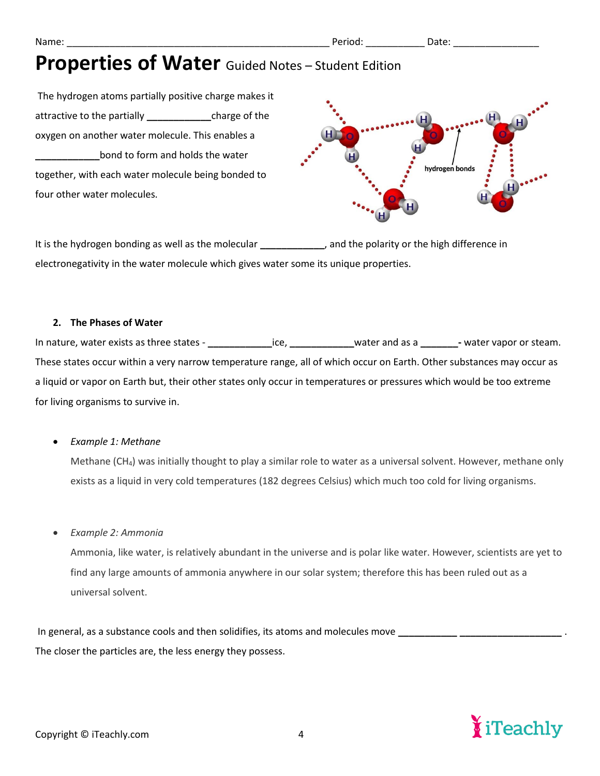The hydrogen atoms partially positive charge makes it attractive to the partially **\_\_\_\_\_\_\_\_\_\_\_\_**charge of the oxygen on another water molecule. This enables a **\_\_\_\_\_\_\_\_\_\_\_\_**bond to form and holds the water together, with each water molecule being bonded to four other water molecules.



It is the hydrogen bonding as well as the molecular *\_\_\_\_\_\_\_\_\_\_*, and the polarity or the high difference in electronegativity in the water molecule which gives water some its unique properties.

### **2. The Phases of Water**

In nature, water exists as three states - **\_\_\_\_\_\_\_\_\_\_\_\_**ice, **\_\_\_\_\_\_\_\_\_\_\_\_**water and as a **\_\_\_\_\_\_\_-** water vapor or steam. These states occur within a very narrow temperature range, all of which occur on Earth. Other substances may occur as a liquid or vapor on Earth but, their other states only occur in temperatures or pressures which would be too extreme for living organisms to survive in.

### • *Example 1: Methane*

Methane (CH<sub>4</sub>) was initially thought to play a similar role to water as a universal solvent. However, methane only exists as a liquid in very cold temperatures (182 degrees Celsius) which much too cold for living organisms.

### • *Example 2: Ammonia*

Ammonia, like water, is relatively abundant in the universe and is polar like water. However, scientists are yet to find any large amounts of ammonia anywhere in our solar system; therefore this has been ruled out as a universal solvent.

In general, as a substance cools and then solidifies, its atoms and molecules move The closer the particles are, the less energy they possess.

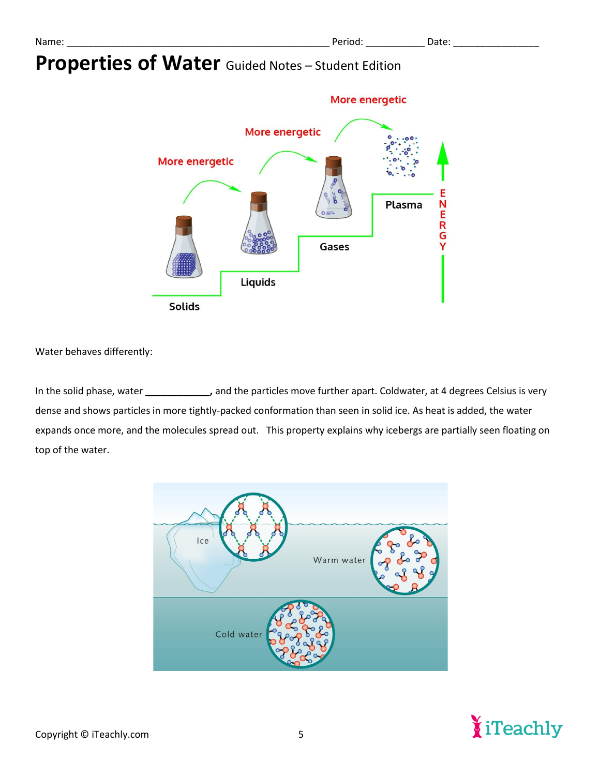

Water behaves differently:

In the solid phase, water **\_\_\_\_\_\_\_\_\_\_\_\_,** and the particles move further apart. Coldwater, at 4 degrees Celsius is very dense and shows particles in more tightly-packed conformation than seen in solid ice. As heat is added, the water expands once more, and the molecules spread out. This property explains why icebergs are partially seen floating on top of the water.



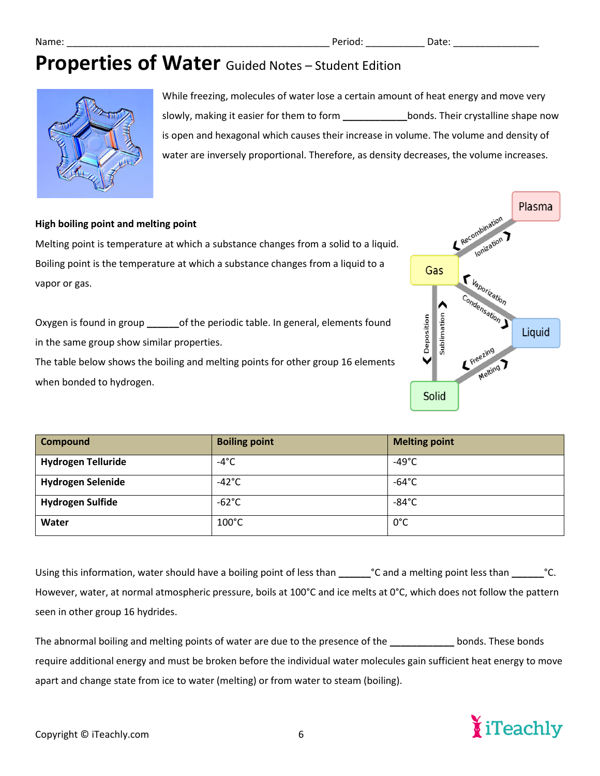

While freezing, molecules of water lose a certain amount of heat energy and move very slowly, making it easier for them to form **\_\_\_\_\_\_\_\_\_\_\_\_**bonds. Their crystalline shape now is open and hexagonal which causes their increase in volume. The volume and density of water are inversely proportional. Therefore, as density decreases, the volume increases.

### **High boiling point and melting point**

Melting point is temperature at which a substance changes from a solid to a liquid. Boiling point is the temperature at which a substance changes from a liquid to a vapor or gas.

Oxygen is found in group **\_\_\_\_\_\_**of the periodic table. In general, elements found in the same group show similar properties.

The table below shows the boiling and melting points for other group 16 elements when bonded to hydrogen.



| <b>Compound</b>           | <b>Boiling point</b> | <b>Melting point</b> |
|---------------------------|----------------------|----------------------|
| <b>Hydrogen Telluride</b> | $-4^{\circ}$ C       | -49 $^{\circ}$ C     |
| <b>Hydrogen Selenide</b>  | $-42^{\circ}$ C      | $-64^{\circ}$ C      |
| <b>Hydrogen Sulfide</b>   | $-62^{\circ}$ C      | $-84^{\circ}$ C      |
| Water                     | $100^{\circ}$ C      | $0^{\circ}$ C        |

Using this information, water should have a boiling point of less than **\_\_\_\_\_\_**°C and a melting point less than **\_\_\_\_\_\_**°C. However, water, at normal atmospheric pressure, boils at 100°C and ice melts at 0°C, which does not follow the pattern seen in other group 16 hydrides.

The abnormal boiling and melting points of water are due to the presence of the **\_\_\_\_\_\_\_\_\_\_\_\_** bonds. These bonds require additional energy and must be broken before the individual water molecules gain sufficient heat energy to move apart and change state from ice to water (melting) or from water to steam (boiling).

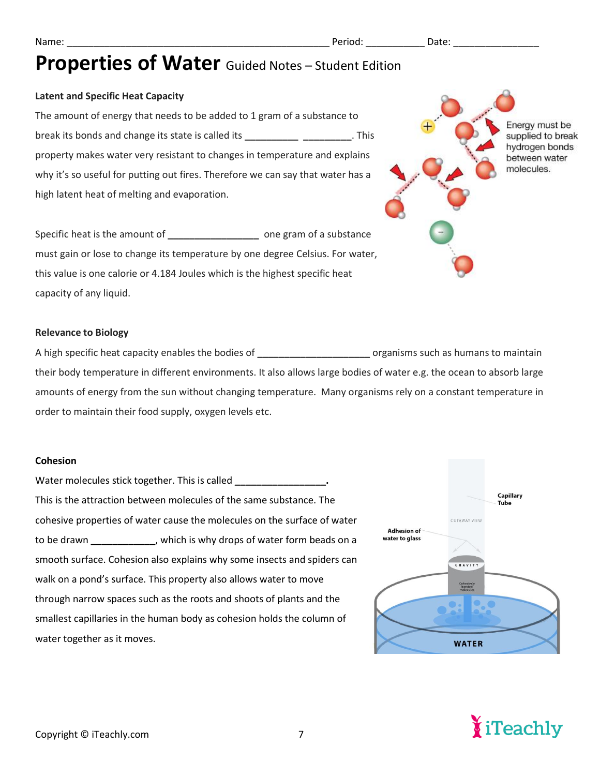### **Latent and Specific Heat Capacity**

The amount of energy that needs to be added to 1 gram of a substance to break its bonds and change its state is called its **\_\_\_\_\_\_\_\_\_\_ \_\_\_\_\_\_\_\_\_**. This property makes water very resistant to changes in temperature and explains why it's so useful for putting out fires. Therefore we can say that water has a high latent heat of melting and evaporation.

Specific heat is the amount of **\_\_\_\_\_\_\_\_\_\_\_\_\_\_\_\_\_** one gram of a substance must gain or lose to change its temperature by one degree Celsius. For water, this value is one calorie or 4.184 Joules which is the highest specific heat capacity of any liquid.

#### **Relevance to Biology**

A high specific heat capacity enables the bodies of **\_\_\_\_\_\_\_\_\_\_\_\_\_\_\_\_\_\_\_\_\_** organisms such as humans to maintain their body temperature in different environments. It also allows large bodies of water e.g. the ocean to absorb large amounts of energy from the sun without changing temperature. Many organisms rely on a constant temperature in order to maintain their food supply, oxygen levels etc.

#### **Cohesion**

| Water molecules stick together. This is called                           |
|--------------------------------------------------------------------------|
| This is the attraction between molecules of the same substance. The      |
| cohesive properties of water cause the molecules on the surface of water |
| to be drawn ______________, which is why drops of water form beads on a  |
| smooth surface. Cohesion also explains why some insects and spiders can  |
| walk on a pond's surface. This property also allows water to move        |
| through narrow spaces such as the roots and shoots of plants and the     |
| smallest capillaries in the human body as cohesion holds the column of   |
| water together as it moves.                                              |





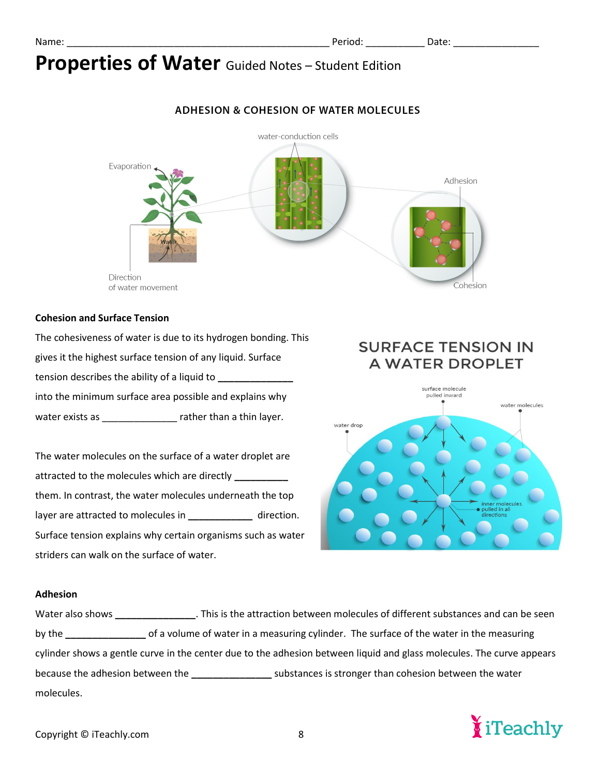### **ADHESION & COHESION OF WATER MOLECULES**



#### **Cohesion and Surface Tension**

The cohesiveness of water is due to its hydrogen bonding. This gives it the highest surface tension of any liquid. Surface tension describes the ability of a liquid to **\_\_\_\_\_\_\_\_\_\_\_\_\_\_** into the minimum surface area possible and explains why water exists as \_\_\_\_\_\_\_\_\_\_\_\_\_\_\_\_\_ rather than a thin layer.

The water molecules on the surface of a water droplet are attracted to the molecules which are directly **\_\_\_\_\_\_\_\_\_\_**  them. In contrast, the water molecules underneath the top layer are attracted to molecules in **\_\_\_\_\_\_\_\_\_\_\_\_** direction. Surface tension explains why certain organisms such as water striders can walk on the surface of water.

### **SURFACE TENSION IN A WATER DROPLET**



#### **Adhesion**

Water also shows **\_\_\_\_\_\_\_\_\_\_\_\_\_\_\_**. This is the attraction between molecules of different substances and can be seen by the **\_\_\_\_\_\_\_\_\_\_\_\_\_\_\_** of a volume of water in a measuring cylinder. The surface of the water in the measuring cylinder shows a gentle curve in the center due to the adhesion between liquid and glass molecules. The curve appears because the adhesion between the **\_\_\_\_\_\_\_\_\_\_\_\_\_\_\_** substances is stronger than cohesion between the water molecules.

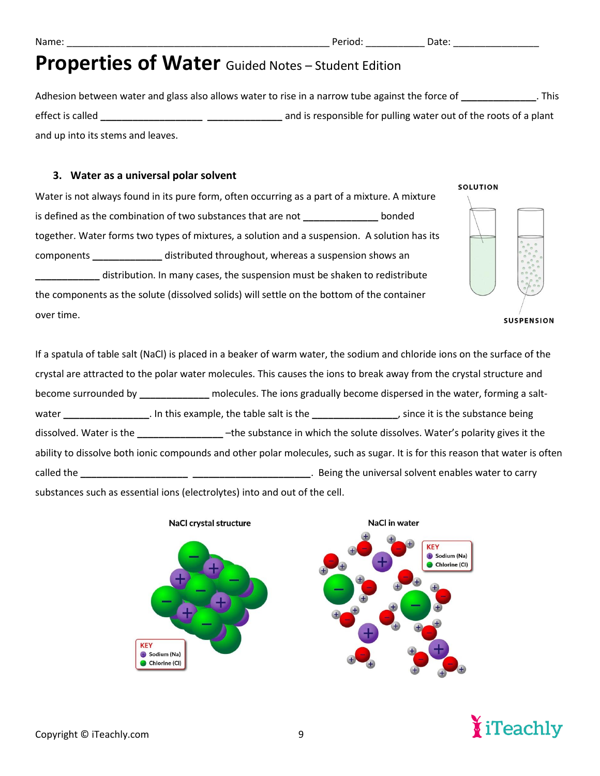Adhesion between water and glass also allows water to rise in a narrow tube against the force of **\_\_\_\_\_\_\_\_\_\_\_\_\_\_**. This effect is called **\_\_\_\_\_\_\_\_\_\_\_\_\_\_\_\_\_\_\_ \_\_\_\_\_\_\_\_\_\_\_\_\_\_** and is responsible for pulling water out of the roots of a plant and up into its stems and leaves.

### **3. Water as a universal polar solvent**

Water is not always found in its pure form, often occurring as a part of a mixture. A mixture is defined as the combination of two substances that are not **\_\_\_\_\_\_\_\_\_\_\_\_\_\_** bonded together. Water forms two types of mixtures, a solution and a suspension. A solution has its components **\_\_\_\_\_\_\_\_\_\_\_\_\_** distributed throughout, whereas a suspension shows an **\_\_\_\_\_\_\_\_\_\_\_\_** distribution. In many cases, the suspension must be shaken to redistribute the components as the solute (dissolved solids) will settle on the bottom of the container over time.

#### **SOLUTION**



**SUSPENSION** 

If a spatula of table salt (NaCl) is placed in a beaker of warm water, the sodium and chloride ions on the surface of the crystal are attracted to the polar water molecules. This causes the ions to break away from the crystal structure and become surrounded by **\_\_\_\_\_\_\_\_\_\_\_\_\_** molecules. The ions gradually become dispersed in the water, forming a saltwater **\_\_\_\_\_\_\_\_\_\_\_\_\_\_\_\_**. In this example, the table salt is the **\_\_\_\_\_\_\_\_\_\_\_\_\_\_\_\_**, since it is the substance being dissolved. Water is the **\_\_\_\_\_\_\_\_\_\_\_\_\_\_\_\_** –the substance in which the solute dissolves. Water's polarity gives it the ability to dissolve both ionic compounds and other polar molecules, such as sugar. It is for this reason that water is often called the **\_\_\_\_\_\_\_\_\_\_\_\_\_\_\_\_\_\_\_\_ \_\_\_\_\_\_\_\_\_\_\_\_\_\_\_\_\_\_\_\_\_\_**. Being the universal solvent enables water to carry substances such as essential ions (electrolytes) into and out of the cell.